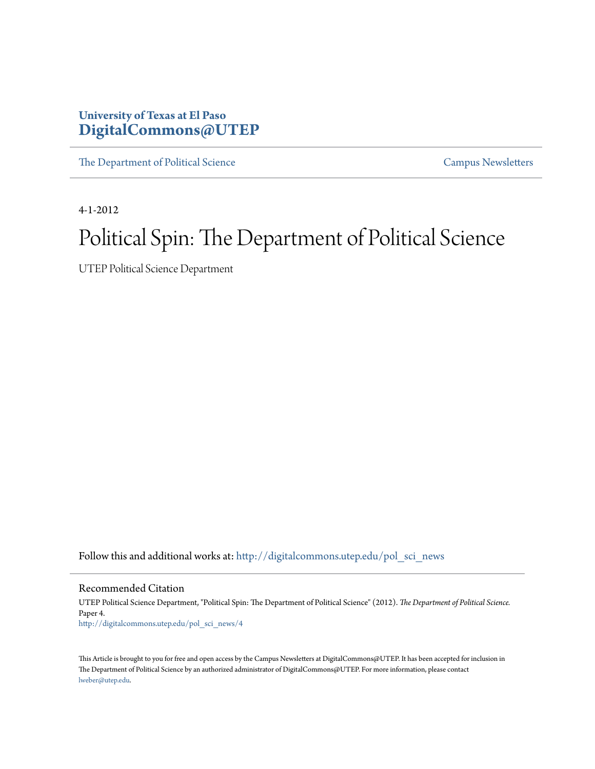# **University of Texas at El Paso [DigitalCommons@UTEP](http://digitalcommons.utep.edu?utm_source=digitalcommons.utep.edu%2Fpol_sci_news%2F4&utm_medium=PDF&utm_campaign=PDFCoverPages)**

[The Department of Political Science](http://digitalcommons.utep.edu/pol_sci_news?utm_source=digitalcommons.utep.edu%2Fpol_sci_news%2F4&utm_medium=PDF&utm_campaign=PDFCoverPages) [Campus Newsletters](http://digitalcommons.utep.edu/newsletters?utm_source=digitalcommons.utep.edu%2Fpol_sci_news%2F4&utm_medium=PDF&utm_campaign=PDFCoverPages) Campus Newsletters

4-1-2012

# Political Spin: The Department of Political Science

UTEP Political Science Department

Follow this and additional works at: [http://digitalcommons.utep.edu/pol\\_sci\\_news](http://digitalcommons.utep.edu/pol_sci_news?utm_source=digitalcommons.utep.edu%2Fpol_sci_news%2F4&utm_medium=PDF&utm_campaign=PDFCoverPages)

Recommended Citation

UTEP Political Science Department, "Political Spin: The Department of Political Science" (2012). *The Department of Political Science.* Paper 4. [http://digitalcommons.utep.edu/pol\\_sci\\_news/4](http://digitalcommons.utep.edu/pol_sci_news/4?utm_source=digitalcommons.utep.edu%2Fpol_sci_news%2F4&utm_medium=PDF&utm_campaign=PDFCoverPages)

This Article is brought to you for free and open access by the Campus Newsletters at DigitalCommons@UTEP. It has been accepted for inclusion in The Department of Political Science by an authorized administrator of DigitalCommons@UTEP. For more information, please contact [lweber@utep.edu](mailto:lweber@utep.edu).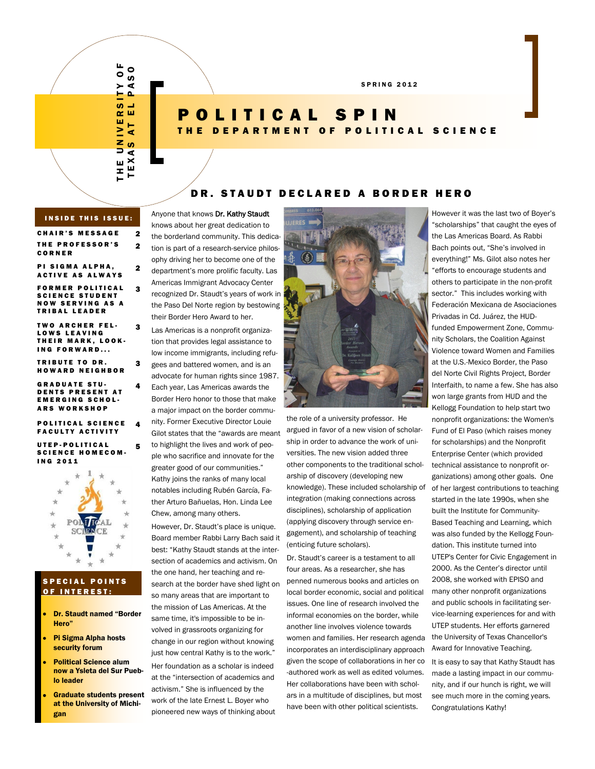T H E U N I V E R S I T Y O F ∟<br>O ASO TEXA<mark>s at el paso</mark>  $\geq$  $\Omega$ <u>ທ</u> ц. ш œ ш r. ⋗ ∢  $\bar{\mathbf{z}}$  $\boldsymbol{a}$ Ξ ď  $\boldsymbol{\times}$ ш ш Ŧ, Е

2

2

3

3

3

4

4

# POLITICAL SPIN THE DEPARTMENT OF POLITICAL SCIENCE

### DR. STAUDT DECLARED A BORDER HERO

#### **INSIDE THIS ISSUE:**

CHAIR'S MESSAGE 2 THE PROFESSOR'S C O R N E R

PI SIGMA ALPHA, **ACTIVE AS ALWAYS** 

**FORMER POLITICAL** SCIENCE STUDENT **NOW SERVING AS A TRIBAL LEADER** 

**TWO ARCHER FEL-**LOWS LEAVING THEIR MARK, LOOK-ING FORWARD...

**TRIBUTE TO DR.** HOWARD NEIGHBOR

**GRADUATE STU-**DENTS PRESENT AT **EMERGING SCHOL-ARS WORKSHOP** 

#### POLITICAL SCIENCE **FACULTY ACTIVITY**

UTEP-POLITICAL SCIENCE HOMECOM-I N G 2 0 1 1 5



#### **S P E C I A L POINTS** OF INTEREST:

- Dr. Staudt named "Border Hero"
- Pi Sigma Alpha hosts security forum
- Political Science alum now a Ysleta del Sur Pueblo leader
- Graduate students present at the University of Michigan

Anyone that knows Dr. Kathy Staudt knows about her great dedication to the borderland community. This dedication is part of a research-service philosophy driving her to become one of the department's more prolific faculty. Las Americas Immigrant Advocacy Center recognized Dr. Staudt's years of work in the Paso Del Norte region by bestowing their Border Hero Award to her.

Las Americas is a nonprofit organization that provides legal assistance to low income immigrants, including refugees and battered women, and is an

advocate for human rights since 1987. Each year, Las Americas awards the Border Hero honor to those that make

a major impact on the border community. Former Executive Director Louie Gilot states that the "awards are meant

to highlight the lives and work of people who sacrifice and innovate for the greater good of our communities." Kathy joins the ranks of many local notables including Rubén García, Father Arturo Bañuelas, Hon. Linda Lee Chew, among many others.

However, Dr. Staudt's place is unique. Board member Rabbi Larry Bach said it best: "Kathy Staudt stands at the intersection of academics and activism. On the one hand, her teaching and research at the border have shed light on so many areas that are important to the mission of Las Americas. At the same time, it's impossible to be involved in grassroots organizing for change in our region without knowing just how central Kathy is to the work." Her foundation as a scholar is indeed at the "intersection of academics and activism." She is influenced by the work of the late Ernest L. Boyer who pioneered new ways of thinking about



the role of a university professor. He argued in favor of a new vision of scholarship in order to advance the work of universities. The new vision added three other components to the traditional scholarship of discovery (developing new knowledge). These included scholarship of integration (making connections across disciplines), scholarship of application (applying discovery through service engagement), and scholarship of teaching (enticing future scholars).

Dr. Staudt's career is a testament to all four areas. As a researcher, she has penned numerous books and articles on local border economic, social and political issues. One line of research involved the informal economies on the border, while another line involves violence towards women and families. Her research agenda incorporates an interdisciplinary approach given the scope of collaborations in her co -authored work as well as edited volumes. Her collaborations have been with scholars in a multitude of disciplines, but most have been with other political scientists.

However it was the last two of Boyer's "scholarships" that caught the eyes of the Las Americas Board. As Rabbi Bach points out, "She's involved in everything!" Ms. Gilot also notes her "efforts to encourage students and others to participate in the non-profit sector." This includes working with Federación Mexicana de Asociaciones Privadas in Cd. Juárez, the HUDfunded Empowerment Zone, Community Scholars, the Coalition Against Violence toward Women and Families at the U.S.-Mexico Border, the Paso del Norte Civil Rights Project, Border Interfaith, to name a few. She has also won large grants from HUD and the Kellogg Foundation to help start two nonprofit organizations: the Women's Fund of El Paso (which raises money for scholarships) and the Nonprofit Enterprise Center (which provided technical assistance to nonprofit organizations) among other goals. One of her largest contributions to teaching started in the late 1990s, when she built the Institute for Community-Based Teaching and Learning, which was also funded by the Kellogg Foundation. This institute turned into UTEP's Center for Civic Engagement in 2000. As the Center's director until 2008, she worked with EPISO and many other nonprofit organizations and public schools in facilitating service-learning experiences for and with UTEP students. Her efforts garnered the University of Texas Chancellor's Award for Innovative Teaching.

It is easy to say that Kathy Staudt has made a lasting impact in our community, and if our hunch is right, we will see much more in the coming years. Congratulations Kathy!

S P R I N G 2 0 1 2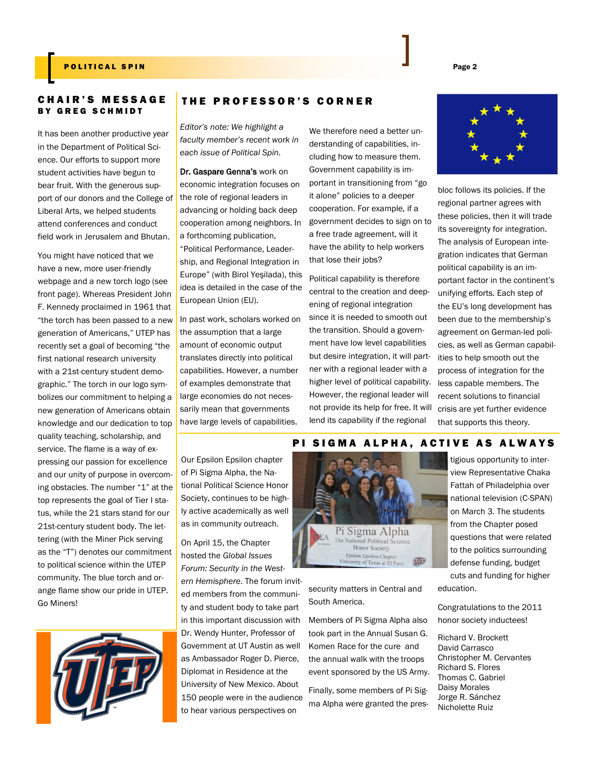#### POLITICAL SPIN PAGE 2

#### C H A I R ' S M E S S A G E **BY GREG SCHMIDT**

It has been another productive year in the Department of Political Science. Our efforts to support more student activities have begun to bear fruit. With the generous support of our donors and the College of Liberal Arts, we helped students attend conferences and conduct field work in Jerusalem and Bhutan.

You might have noticed that we have a new, more user-friendly webpage and a new torch logo (see front page). Whereas President John F. Kennedy proclaimed in 1961 that "the torch has been passed to a new generation of Americans," UTEP has recently set a goal of becoming "the first national research university with a 21st-century student demographic." The torch in our logo symbolizes our commitment to helping a new generation of Americans obtain knowledge and our dedication to top quality teaching, scholarship, and service. The flame is a way of expressing our passion for excellence and our unity of purpose in overcoming obstacles. The number "1" at the top represents the goal of Tier I status, while the 21 stars stand for our 21st-century student body. The lettering (with the Miner Pick serving as the "T") denotes our commitment to political science within the UTEP community. The blue torch and orange flame show our pride in UTEP. Go Miners!



## THE PROFESSOR'S CORNER

*Editor's note: We highlight a faculty member's recent work in each issue of Political Spin.*

Dr. Gaspare Genna's work on economic integration focuses on the role of regional leaders in advancing or holding back deep cooperation among neighbors. In a forthcoming publication, "Political Performance, Leadership, and Regional Integration in Europe" (with Birol Yeşilada), this idea is detailed in the case of the European Union (EU).

In past work, scholars worked on the assumption that a large amount of economic output translates directly into political capabilities. However, a number of examples demonstrate that large economies do not necessarily mean that governments have large levels of capabilities.

Our Epsilon Epsilon chapter of Pi Sigma Alpha, the National Political Science Honor Society, continues to be highly active academically as well as in community outreach.

On April 15, the Chapter hosted the *Global Issues Forum: Security in the Western Hemisphere*. The forum invited members from the community and student body to take part in this important discussion with Dr. Wendy Hunter, Professor of Government at UT Austin as well as Ambassador Roger D. Pierce, Diplomat in Residence at the University of New Mexico. About 150 people were in the audience to hear various perspectives on

We therefore need a better understanding of capabilities, including how to measure them. Government capability is important in transitioning from "go it alone" policies to a deeper cooperation. For example, if a government decides to sign on to a free trade agreement, will it have the ability to help workers that lose their jobs?

Political capability is therefore central to the creation and deepening of regional integration since it is needed to smooth out the transition. Should a government have low level capabilities but desire integration, it will partner with a regional leader with a higher level of political capability. However, the regional leader will not provide its help for free. It will lend its capability if the regional

bloc follows its policies. If the regional partner agrees with these policies, then it will trade its sovereignty for integration. The analysis of European integration indicates that German political capability is an important factor in the continent's unifying efforts. Each step of the EU's long development has been due to the membership's agreement on German-led policies, as well as German capabilities to help smooth out the process of integration for the less capable members. The recent solutions to financial crisis are yet further evidence that supports this theory.

#### PI SIGMA ALPHA, ACTIVE AS ALWAYS



security matters in Central and South America.

Members of Pi Sigma Alpha also took part in the Annual Susan G. Komen Race for the cure and the annual walk with the troops event sponsored by the US Army.

Finally, some members of Pi Sigma Alpha were granted the pres-

tigious opportunity to interview Representative Chaka Fattah of Philadelphia over national television (C-SPAN) on March 3. The students from the Chapter posed questions that were related to the politics surrounding defense funding, budget cuts and funding for higher education.

Congratulations to the 2011 honor society inductees!

Richard V. Brockett David Carrasco Christopher M. Cervantes Richard S. Flores Thomas C. Gabriel Daisy Morales Jorge R. Sánchez Nicholette Ruiz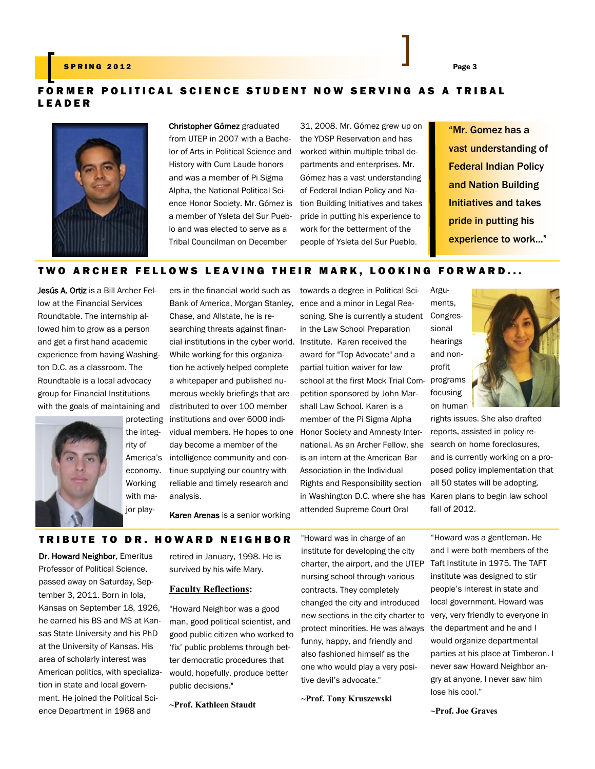### S P R I N G 2012 Page 3 Page 3 Page 3 Page 3 Page 3 Page 3 Page 3 Page 3 Page 3 Page 3 Page 3 Page 3

# FORMER POLITICAL SCIENCE STUDENT NOW SERVING AS A TRIBAL L E A D E R



Christopher Gómez graduated from UTEP in 2007 with a Bachelor of Arts in Political Science and History with Cum Laude honors and was a member of Pi Sigma Alpha, the National Political Science Honor Society. Mr. Gómez is a member of Ysleta del Sur Pueblo and was elected to serve as a Tribal Councilman on December

ers in the financial world such as

31, 2008. Mr. Gómez grew up on the YDSP Reservation and has worked within multiple tribal departments and enterprises. Mr. Gómez has a vast understanding of Federal Indian Policy and Nation Building Initiatives and takes pride in putting his experience to work for the betterment of the people of Ysleta del Sur Pueblo.

"Mr. Gomez has a vast understanding of Federal Indian Policy and Nation Building Initiatives and takes pride in putting his experience to work..."

# TWO ARCHER FELLOWS LEAVING THEIR MARK, LOOKING FORWARD...

Jesús A. Ortiz is a Bill Archer Fellow at the Financial Services Roundtable. The internship allowed him to grow as a person and get a first hand academic experience from having Washington D.C. as a classroom. The Roundtable is a local advocacy group for Financial Institutions with the goals of maintaining and



the integrity of America's economy. Working with major play-

cial institutions in the cyber world. Institute. Karen received the protecting institutions and over 6000 indi-Bank of America, Morgan Stanley, Chase, and Allstate, he is researching threats against finan-While working for this organization he actively helped complete a whitepaper and published numerous weekly briefings that are distributed to over 100 member vidual members. He hopes to one day become a member of the intelligence community and continue supplying our country with reliable and timely research and analysis.

towards a degree in Political Science and a minor in Legal Reasoning. She is currently a student Congresin the Law School Preparation award for "Top Advocate" and a partial tuition waiver for law school at the first Mock Trial Com-programs petition sponsored by John Marshall Law School. Karen is a member of the Pi Sigma Alpha Honor Society and Amnesty International. As an Archer Fellow, she search on home foreclosures, is an intern at the American Bar Association in the Individual Rights and Responsibility section in Washington D.C. where she has Karen plans to begin law school attended Supreme Court Oral Arguments, sional profit



rights issues. She also drafted reports, assisted in policy reand is currently working on a proposed policy implementation that all 50 states will be adopting. fall of 2012.

Karen Arenas is a senior working

#### TRIBUTE TO DR. HOWARD NEIGHBOR

Dr. Howard Neighbor, Emeritus Professor of Political Science, passed away on Saturday, September 3, 2011. Born in Iola, Kansas on September 18, 1926, he earned his BS and MS at Kansas State University and his PhD at the University of Kansas. His area of scholarly interest was American politics, with specialization in state and local government. He joined the Political Science Department in 1968 and

retired in January, 1998. He is survived by his wife Mary.

#### **Faculty Reflections:**

"Howard Neighbor was a good man, good political scientist, and good public citizen who worked to 'fix' public problems through better democratic procedures that would, hopefully, produce better public decisions."

**~Prof. Kathleen Staudt**

"Howard was in charge of an institute for developing the city charter, the airport, and the UTEP nursing school through various contracts. They completely changed the city and introduced new sections in the city charter to protect minorities. He was always funny, happy, and friendly and also fashioned himself as the one who would play a very positive devil's advocate."

**~Prof. Tony Kruszewski**

"Howard was a gentleman. He and I were both members of the Taft Institute in 1975. The TAFT institute was designed to stir people's interest in state and local government. Howard was very, very friendly to everyone in the department and he and I would organize departmental parties at his place at Timberon. I never saw Howard Neighbor angry at anyone, I never saw him lose his cool."

**~Prof. Joe Graves**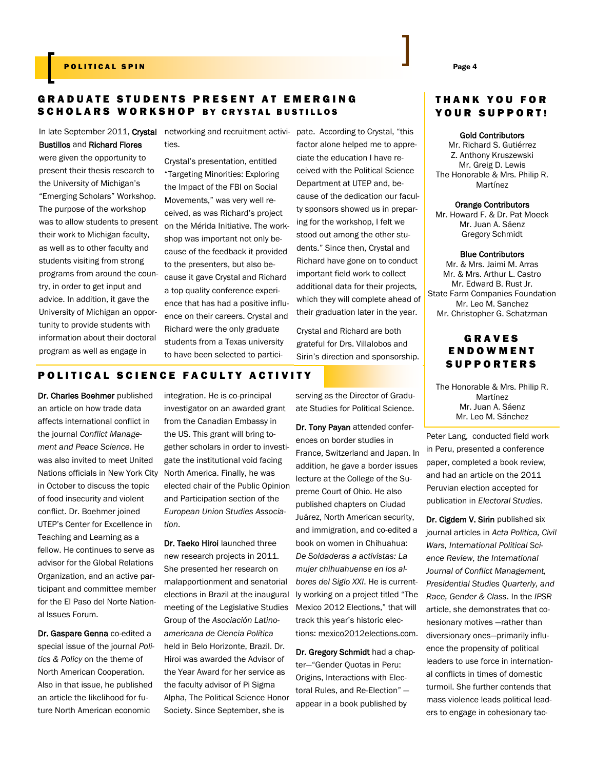#### POLITICAL SPIN PAGE 2 AND 2 AND 2 AND 2 AND 2 AND 2 AND 2 AND 2 AND 2 AND 2 AND 2 AND 2 AND 2 AND 2 AND 2 AND 2 AND 2 AND 2 AND 2 AND 2 AND 2 AND 2 AND 2 AND 2 AND 2 AND 2 AND 2 AND 2 AND 2 AND 2 AND 2 AND 2 AND 2 AND 2 AN

# GRADUATE STUDENTS PRESENT AT EMERGING SCHOLARS WORKSHOP BY CRYSTAL BUSTILLOS

Bustillos and Richard Flores

were given the opportunity to present their thesis research to the University of Michigan's "Emerging Scholars" Workshop. The purpose of the workshop was to allow students to present their work to Michigan faculty, as well as to other faculty and students visiting from strong programs from around the country, in order to get input and advice. In addition, it gave the University of Michigan an opportunity to provide students with information about their doctoral program as well as engage in

In late September 2011, Crystal networking and recruitment activi- pate. According to Crystal, "this ties.

> Crystal's presentation, entitled "Targeting Minorities: Exploring the Impact of the FBI on Social Movements," was very well received, as was Richard's project on the Mérida Initiative. The workshop was important not only because of the feedback it provided to the presenters, but also because it gave Crystal and Richard a top quality conference experience that has had a positive influence on their careers. Crystal and Richard were the only graduate students from a Texas university to have been selected to partici

factor alone helped me to appreciate the education I have received with the Political Science Department at UTEP and, because of the dedication our faculty sponsors showed us in preparing for the workshop, I felt we stood out among the other students." Since then, Crystal and Richard have gone on to conduct important field work to collect additional data for their projects, which they will complete ahead of their graduation later in the year.

Crystal and Richard are both grateful for Drs. Villalobos and Sirin's direction and sponsorship.

#### POLITICAL SCIENCE FACULTY ACTIVITY

Dr. Charles Boehmer published an article on how trade data affects international conflict in the journal *Conflict Management and Peace Science*. He was also invited to meet United Nations officials in New York City in October to discuss the topic of food insecurity and violent conflict. Dr. Boehmer joined UTEP's Center for Excellence in Teaching and Learning as a fellow. He continues to serve as advisor for the Global Relations Organization, and an active participant and committee member for the El Paso del Norte National Issues Forum.

Dr. Gaspare Genna co-edited a special issue of the journal *Politics & Policy* on the theme of North American Cooperation. Also in that issue, he published an article the likelihood for future North American economic

integration. He is co-principal investigator on an awarded grant from the Canadian Embassy in the US. This grant will bring together scholars in order to investigate the institutional void facing North America. Finally, he was elected chair of the Public Opinion and Participation section of the *European Union Studies Association*.

Dr. Taeko Hiroi launched three new research projects in 2011. She presented her research on malapportionment and senatorial elections in Brazil at the inaugural meeting of the Legislative Studies Group of the *Asociación Latinoamericana de Ciencia Política*  held in Belo Horizonte, Brazil. Dr. Hiroi was awarded the Advisor of the Year Award for her service as the faculty advisor of Pi Sigma Alpha, The Political Science Honor Society. Since September, she is

serving as the Director of Graduate Studies for Political Science.

Dr. Tony Payan attended conferences on border studies in France, Switzerland and Japan. In addition, he gave a border issues lecture at the College of the Supreme Court of Ohio. He also published chapters on Ciudad Juárez, North American security, and immigration, and co-edited a book on women in Chihuahua: *De Soldaderas a activistas: La mujer chihuahuense en los albores del Siglo XXI*. He is currently working on a project titled "The Mexico 2012 Elections," that will track this year's historic elections: [mexico2012elections.com.](http://www.mexico2012elections.com)

Dr. Gregory Schmidt had a chapter—"Gender Quotas in Peru: Origins, Interactions with Electoral Rules, and Re-Election" appear in a book published by

# THANK YOU FOR YOUR SUPPORT!

Gold Contributors

Mr. Richard S. Gutiérrez Z. Anthony Kruszewski Mr. Greig D. Lewis The Honorable & Mrs. Philip R. Martínez

Orange Contributors Mr. Howard F. & Dr. Pat Moeck

Mr. Juan A. Sáenz Gregory Schmidt

Blue Contributors

Mr. & Mrs. Jaimi M. Arras Mr. & Mrs. Arthur L. Castro Mr. Edward B. Rust Jr. State Farm Companies Foundation Mr. Leo M. Sanchez Mr. Christopher G. Schatzman

# **GRAVES ENDOWMENT SUPPORTERS**

The Honorable & Mrs. Philip R. Martínez Mr. Juan A. Sáenz Mr. Leo M. Sánchez

Peter Lang, conducted field work in Peru, presented a conference paper, completed a book review, and had an article on the 2011 Peruvian election accepted for publication in *Electoral Studies*.

Dr. Cigdem V. Sirin published six journal articles in *Acta Politica, Civil Wars, International Political Science Review, the International Journal of Conflict Management, Presidential Studies Quarterly, and Race, Gender & Class*. In the *IPSR*  article, she demonstrates that cohesionary motives —rather than diversionary ones—primarily influence the propensity of political leaders to use force in international conflicts in times of domestic turmoil. She further contends that mass violence leads political leaders to engage in cohesionary tac-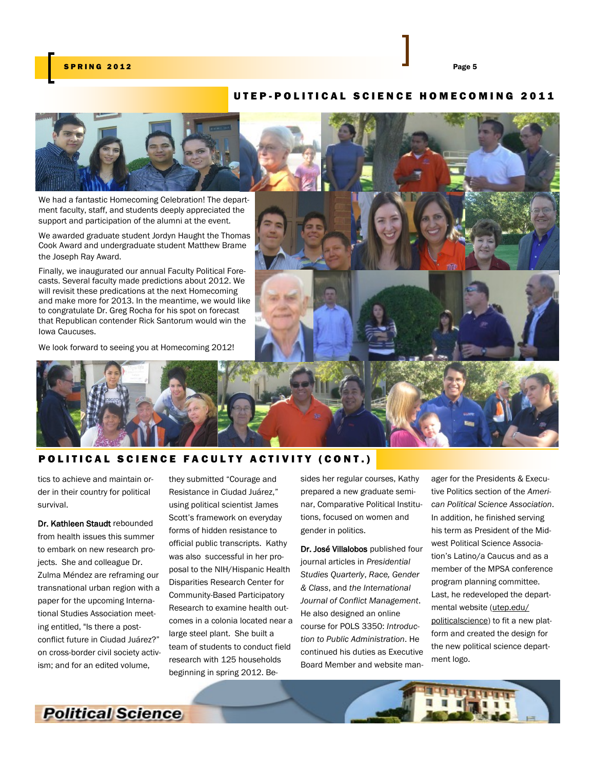#### S P R I N G 2012 Page 5 2012 Page 5 2012 Page 5 2012 Page 5

# UTEP-POLITICAL SCIENCE HOMECOMING 2011



We had a fantastic Homecoming Celebration! The department faculty, staff, and students deeply appreciated the support and participation of the alumni at the event.

We awarded graduate student Jordyn Haught the Thomas Cook Award and undergraduate student Matthew Brame the Joseph Ray Award.

casts. Several faculty made predictions about 2012. We will revisit these predications at the next Homecoming and make more for 2013. In the meantime, we would like to congratulate Dr. Greg Rocha for his spot on forecast that Republican contender Rick Santorum would win the Iowa Caucuses.



#### POLITICAL SCIENCE FACULTY ACTIVITY (CONT.)

tics to achieve and maintain order in their country for political survival.

Dr. Kathleen Staudt rebounded from health issues this summer to embark on new research projects. She and colleague Dr. Zulma Méndez are reframing our transnational urban region with a paper for the upcoming International Studies Association meeting entitled, "Is there a postconflict future in Ciudad Juárez?" on cross-border civil society activism; and for an edited volume,

they submitted "Courage and Resistance in Ciudad Juárez," using political scientist James Scott's framework on everyday forms of hidden resistance to official public transcripts. Kathy was also successful in her proposal to the NIH/Hispanic Health Disparities Research Center for Community-Based Participatory Research to examine health outcomes in a colonia located near a large steel plant. She built a team of students to conduct field research with 125 households beginning in spring 2012. Besides her regular courses, Kathy prepared a new graduate seminar, Comparative Political Institutions, focused on women and gender in politics.

Dr. José Villalobos published four journal articles in *Presidential Studies Quarterly*, *Race, Gender & Class*, and *the International Journal of Conflict Management*. He also designed an online course for POLS 3350: *Introduction to Public Administration*. He continued his duties as Executive Board Member and website man-

ager for the Presidents & Executive Politics section of the *American Political Science Association*. In addition, he finished serving his term as President of the Midwest Political Science Association's Latino/a Caucus and as a member of the MPSA conference program planning committee. Last, he redeveloped the departmental website ([utep.edu/](http://www.utep.edu/politicalscience) [politicalscience\)](http://www.utep.edu/politicalscience) to fit a new platform and created the design for the new political science department logo.